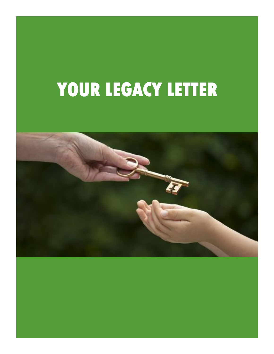# **YOUR LEGACY LETTER**

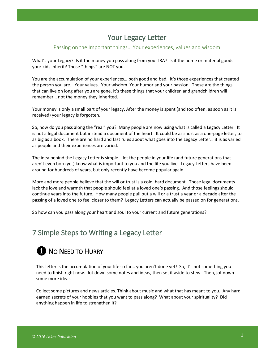# Your Legacy Letter

## Passing on the Important things… Your experiences, values and wisdom

What's your Legacy? Is it the money you pass along from your IRA? Is it the home or material goods your kids inherit? Those "things" are NOT you.

You are the accumulation of your experiences… both good and bad. It's those experiences that created the person you are. Your values. Your wisdom. Your humor and your passion. These are the things that can live on long after you are gone. It's these things that your children and grandchildren will remember… not the money they inherited.

Your money is only a small part of your legacy. After the money is spent (and too often, as soon as it is received) your legacy is forgotten.

So, how do you pass along the "real" you? Many people are now using what is called a Legacy Letter. It is not a legal document but instead a document of the heart. It could be as short as a one-page letter, to as big as a book. There are no hard and fast rules about what goes into the Legacy Letter… it is as varied as people and their experiences are varied.

The idea behind the Legacy Letter is simple… let the people in your life (and future generations that aren't even born yet) know what is important to you and the life you live. Legacy Letters have been around for hundreds of years, but only recently have become popular again.

More and more people believe that the will or trust is a cold, hard document. Those legal documents lack the love and warmth that people should feel at a loved one's passing. And those feelings should continue years into the future. How many people pull out a will or a trust a year or a decade after the passing of a loved one to feel closer to them? Legacy Letters can actually be passed on for generations.

So how can you pass along your heart and soul to your current and future generations?

# 7 Simple Steps to Writing a Legacy Letter

# **O** NO NEED TO HURRY

This letter is the accumulation of your life so far… you aren't done yet! So, it's not something you need to finish right now. Jot down some notes and ideas, then set it aside to stew. Then, jot down some more ideas.

Collect some pictures and news articles. Think about music and what that has meant to you. Any hard earned secrets of your hobbies that you want to pass along? What about your spirituality? Did anything happen in life to strengthen it?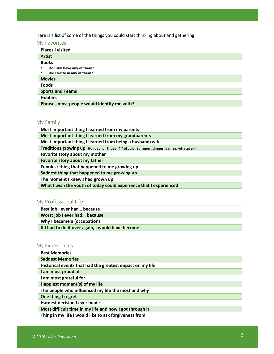Here is a list of some of the things you could start thinking about and gathering:

# My Favorites

| <b>Places I visited</b>                     |
|---------------------------------------------|
| <b>Artist</b>                               |
| <b>Books</b>                                |
| Do I still have any of them?<br>٠           |
| Did I write in any of them?<br>٠            |
| <b>Movies</b>                               |
| <b>Foods</b>                                |
| <b>Sports and Teams</b>                     |
| <b>Hobbies</b>                              |
| Phrases most people would identify me with? |

# My Family

| Most important thing I learned from my parents                                                       |
|------------------------------------------------------------------------------------------------------|
| Most Important thing I learned from my grandparents                                                  |
| Most important thing I learned from being a husband/wife                                             |
| Traditions growing up (Holiday, birthday, 4 <sup>th</sup> of July, Summer, dinner, games, whatever!) |
| Favorite story about my mother                                                                       |
| Favorite story about my father                                                                       |
| Funniest thing that happened to me growing up                                                        |
| Saddest thing that happened to me growing up                                                         |
| The moment I knew I had grown up                                                                     |
| What I wish the youth of today could experience that I experienced                                   |

# My Professional Life

**Best job I ever had… because**

**Worst job I ever had… because**

**Why I became a (occupation)**

**If I had to do it over again, I would have become**

# My Experiences

| <b>Best Memories</b>                                      |
|-----------------------------------------------------------|
| <b>Saddest Memories</b>                                   |
| Historical events that had the greatest impact on my life |
| I am most proud of                                        |
| I am most grateful for                                    |
| Happiest moment(s) of my life                             |
| The people who influenced my life the most and why        |
| One thing I regret                                        |
| Hardest decision I ever made                              |
| Most difficult time in my life and how I got through it   |
| Thing in my life I would like to ask forgiveness from     |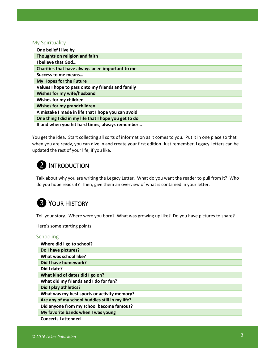## My Spirituality

| One belief I live by                                 |
|------------------------------------------------------|
| Thoughts on religion and faith                       |
| I believe that God                                   |
| Charities that have always been important to me      |
| Success to me means                                  |
| My Hopes for the Future                              |
| Values I hope to pass onto my friends and family     |
| Wishes for my wife/husband                           |
| Wishes for my children                               |
| Wishes for my grandchildren                          |
| A mistake I made in life that I hope you can avoid   |
| One thing I did in my life that I hope you get to do |
| If and when you hit hard times, always remember      |

You get the idea. Start collecting all sorts of information as it comes to you. Put it in one place so that when you are ready, you can dive in and create your first edition. Just remember, Legacy Letters can be updated the rest of your life, if you like.

# 2 INTRODUCTION

Talk about why you are writing the Legacy Letter. What do you want the reader to pull from it? Who do you hope reads it? Then, give them an overview of what is contained in your letter.

# **B** YOUR HISTORY

Tell your story. Where were you born? What was growing up like? Do you have pictures to share?

Here's some starting points:

# Schooling

| Where did I go to school?                      |
|------------------------------------------------|
| Do I have pictures?                            |
| What was school like?                          |
| Did I have homework?                           |
| Did I date?                                    |
| What kind of dates did I go on?                |
| What did my friends and I do for fun?          |
| Did I play athletics?                          |
| What was my best sports or activity memory?    |
| Are any of my school buddies still in my life? |
| Did anyone from my school become famous?       |
| My favorite bands when I was young             |
| <b>Concerts I attended</b>                     |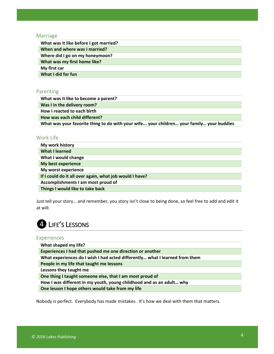#### Marriage

| What was it like before I got married? |
|----------------------------------------|
| When and where was I married?          |
| Where did I go on my honeymoon?        |
| What was my first home like?           |
| My first car                           |
| What I did for fun                     |
|                                        |

## Parenting

**What was it like to become a parent?**

**Was I in the delivery room?**

**How I reacted to each birth**

**How was each child different?**

**What was your favorite thing to do with your wife... your children… your family… your buddies**

# Work Life

| My work history                                         |
|---------------------------------------------------------|
| What I learned                                          |
| What I would change                                     |
| My best experience                                      |
| My worst experience                                     |
| If I could do it all over again, what job would I have? |
| Accomplishments I am most proud of                      |
| Things I would like to take back                        |

Just tell your story… and remember, you story isn't close to being done, so feel free to add and edit it at will.

# **4** LIFE'S LESSONS

#### Experiences

| What shaped my life?                                                        |
|-----------------------------------------------------------------------------|
| Experiences I had that pushed me one direction or another                   |
| What experiences do I wish I had acted differently what I learned from them |
| People in my life that taught me lessons                                    |
| Lessons they taught me                                                      |
| One thing I taught someone else, that I am most proud of                    |
| How I was different in my youth, young childhood and as an adult why        |
| One lesson I hope others would take from my life                            |

Nobody is perfect. Everybody has made mistakes. It's how we deal with them that matters.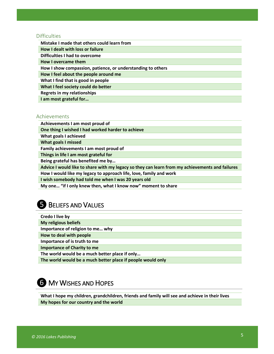## **Difficulties**

| Mistake I made that others could learn from                 |
|-------------------------------------------------------------|
| How I dealt with loss or failure                            |
| Difficulties I had to overcome                              |
| How I overcame them                                         |
| How I show compassion, patience, or understanding to others |
| How I feel about the people around me                       |
| What I find that is good in people                          |
| What I feel society could do better                         |
| Regrets in my relationships                                 |
| I am most grateful for                                      |

## Achievements

**Achievements I am most proud of**

**One thing I wished I had worked harder to achieve**

**What goals I achieved**

**What goals I missed**

**Family achievements I am most proud of**

**Things in life I am most grateful for**

**Being grateful has benefited me by…**

**Advice I would like to share with my legacy so they can learn from my achievements and failures**

**How I would like my legacy to approach life, love, family and work**

**I wish somebody had told me when I was 20 years old**

**My one… "if I only knew then, what I know now" moment to share**

# **5** BELIEFS AND VALUES

| Credo I live by |  |  |
|-----------------|--|--|
|                 |  |  |

**My religious beliefs**

**Importance of religion to me… why**

**How to deal with people**

**Importance of is truth to me** 

**Importance of Charity to me**

**The world would be a much better place if only…**

**The world would be a much better place if people would only**

# **6** MY WISHES AND HOPES

**What I hope my children, grandchildren, friends and family will see and achieve in their lives My hopes for our country and the world**